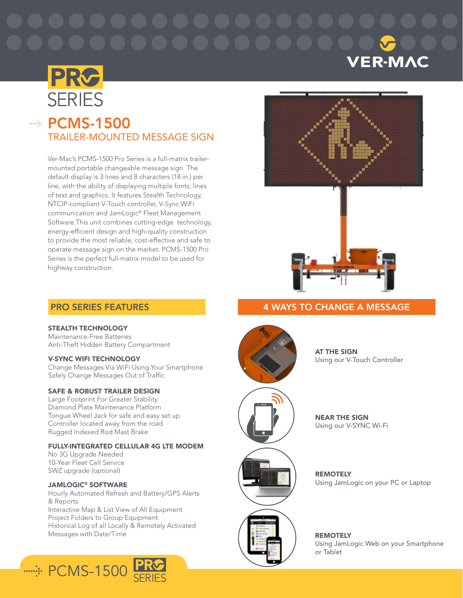# **VER-MAC**



# $\Rightarrow$  PCMS-1500 TRAILER-MOUNTED MESSAGE SIGN

Ver-Mac's PCMS-1500 Pro Series is a full-matrix trailermounted portable changeable message sign. The default display is 3 lines and 8 characters (18 in.) per line, with the ability of displaying multiple fonts, lines of text and graphics. It features Stealth Technology, NTCIP-compliant V-Touch controller, V-Sync WiFi communication and JamLogic® Fleet Management Software.This unit combines cutting-edge technology, energy-efficient design and high-quality construction to provide the most reliable, cost-effective and safe to operate message sign on the market. PCMS-1500 Pro Series is the perfect full-matrix model to be used for highway construction.





# 4 WAYS TO CHANGE A MESSAGE

# PRO SERIES FEATURES

# STEALTH TECHNOLOGY

Maintenance-Free Batteries Anti-Theft Hidden Battery Compartment

# V-SYNC WIFI TECHNOLOGY

Change Messages Via WiFi Using Your Smartphone Safely Change Messages Out of Traffic.

# SAFE & ROBUST TRAILER DESIGN

Large Footprint For Greater Stability Diamond Plate Maintenance Platform Tongue Wheel Jack for safe and easy set up Controller located away from the road Rugged Indexed Rod Mast Brake

# FULLY-INTEGRATED CELLULAR 4G LTE MODEM

No 3G Upgrade Needed 10-Year Fleet Cell Service SWZ upgrade (optional)

# JAMLOGIC® SOFTWARE

Hourly Automated Refresh and Battery/GPS Alerts & Reports Interactive Map & List View of All Equipment Project Folders to Group Equipment Historical Log of all Locally & Remotely Activated Messages with Date/Time





**AT THE SIGN** Using our V-Touch Controller



NEAR THE SIGN Using our V-SYNC Wi-Fi



**REMOTELY** Using JamLogic on your PC or Laptop

REMOTELY Using JamLogic Web on your Smartphone or Tablet